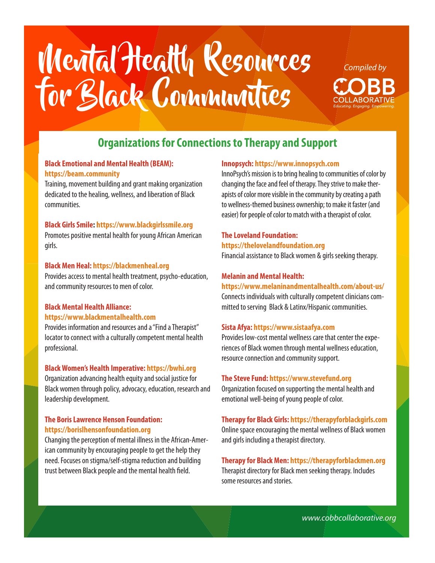# Mental Health Resources for Black Communities *Educating. Engaging. Empowering.*



# **Organizations for Connections to Therapy and Support**

#### **Black Emotional and Mental Health (BEAM): https://beam.community**

Training, movement building and grant making organization dedicated to the healing, wellness, and liberation of Black communities.

#### **Black Girls Smile: https://www.blackgirlssmile.org**

Promotes positive mental health for young African American girls.

#### **Black Men Heal: https://blackmenheal.org**

Provides access to mental health treatment, psycho-education, and community resources to men of color.

#### **Black Mental Health Alliance: https://www.blackmentalhealth.com**

Provides information and resources and a "Find a Therapist" locator to connect with a culturally competent mental health professional.

#### **Black Women's Health Imperative: https://bwhi.org**

Organization advancing health equity and social justice for Black women through policy, advocacy, education, research and leadership development.

#### **The Boris Lawrence Henson Foundation: https://borislhensonfoundation.org**

Changing the perception of mental illness in the African-American community by encouraging people to get the help they need. Focuses on stigma/self-stigma reduction and building trust between Black people and the mental health field.

#### **Innopsych: https://www.innopsych.com**

InnoPsych's mission is to bring healing to communities of color by changing the face and feel of therapy. They strive to make therapists of color more visible in the community by creating a path to wellness-themed business ownership; to make it faster (and easier) for people of color to match with a therapist of color.

## **The Loveland Foundation:**

**https://thelovelandfoundation.org** Financial assistance to Black women & girls seeking therapy.

#### **Melanin and Mental Health:**

**https://www.melaninandmentalhealth.com/about-us/** 

Connects individuals with culturally competent clinicians committed to serving Black & Latinx/Hispanic communities.

#### **Sista Afya: https://www.sistaafya.com**

Provides low-cost mental wellness care that center the experiences of Black women through mental wellness education, resource connection and community support.

#### **The Steve Fund: https://www.stevefund.org**

Organization focused on supporting the mental health and emotional well-being of young people of color.

#### **Therapy for Black Girls: https://therapyforblackgirls.com**

Online space encouraging the mental wellness of Black women and girls including a therapist directory.

#### **Therapy for Black Men: https://therapyforblackmen.org**

Therapist directory for Black men seeking therapy. Includes some resources and stories.